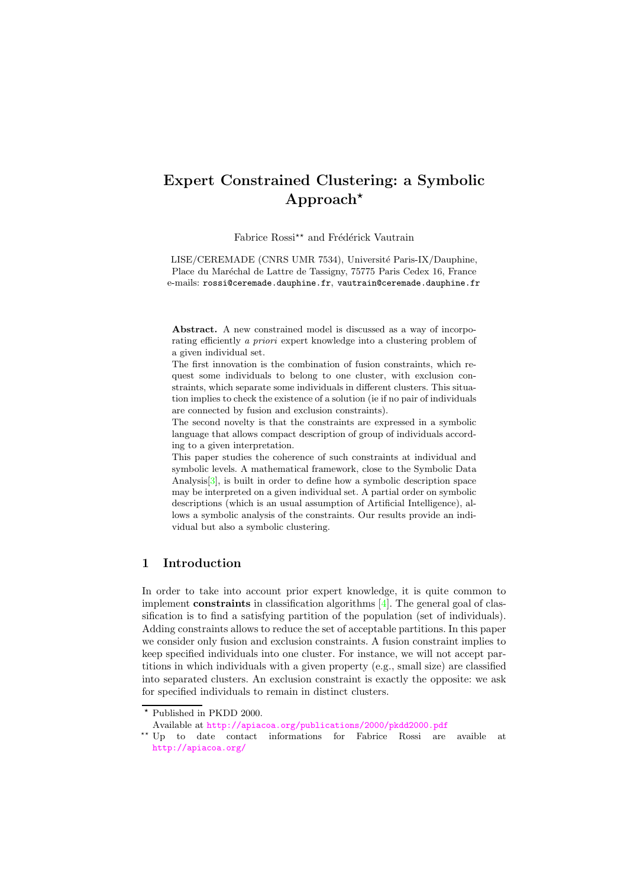# Expert Constrained Clustering: a Symbolic Approach<sup>\*</sup>

Fabrice Rossi<sup>\*\*</sup> and Frédérick Vautrain

LISE/CEREMADE (CNRS UMR 7534), Université Paris-IX/Dauphine, Place du Maréchal de Lattre de Tassigny, 75775 Paris Cedex 16, France e-mails: rossi@ceremade.dauphine.fr, vautrain@ceremade.dauphine.fr

Abstract. A new constrained model is discussed as a way of incorporating efficiently a priori expert knowledge into a clustering problem of a given individual set.

The first innovation is the combination of fusion constraints, which request some individuals to belong to one cluster, with exclusion constraints, which separate some individuals in different clusters. This situation implies to check the existence of a solution (ie if no pair of individuals are connected by fusion and exclusion constraints).

The second novelty is that the constraints are expressed in a symbolic language that allows compact description of group of individuals according to a given interpretation.

This paper studies the coherence of such constraints at individual and symbolic levels. A mathematical framework, close to the Symbolic Data Analysis[\[3\]](#page-8-0), is built in order to define how a symbolic description space may be interpreted on a given individual set. A partial order on symbolic descriptions (which is an usual assumption of Artificial Intelligence), allows a symbolic analysis of the constraints. Our results provide an individual but also a symbolic clustering.

# 1 Introduction

In order to take into account prior expert knowledge, it is quite common to implement constraints in classification algorithms [\[4\]](#page-8-1). The general goal of classification is to find a satisfying partition of the population (set of individuals). Adding constraints allows to reduce the set of acceptable partitions. In this paper we consider only fusion and exclusion constraints. A fusion constraint implies to keep specified individuals into one cluster. For instance, we will not accept partitions in which individuals with a given property (e.g., small size) are classified into separated clusters. An exclusion constraint is exactly the opposite: we ask for specified individuals to remain in distinct clusters.

<sup>?</sup> Published in PKDD 2000.

Available at <http://apiacoa.org/publications/2000/pkdd2000.pdf>

<sup>\*\*</sup> Up to date contact informations for Fabrice Rossi are avaible at <http://apiacoa.org/>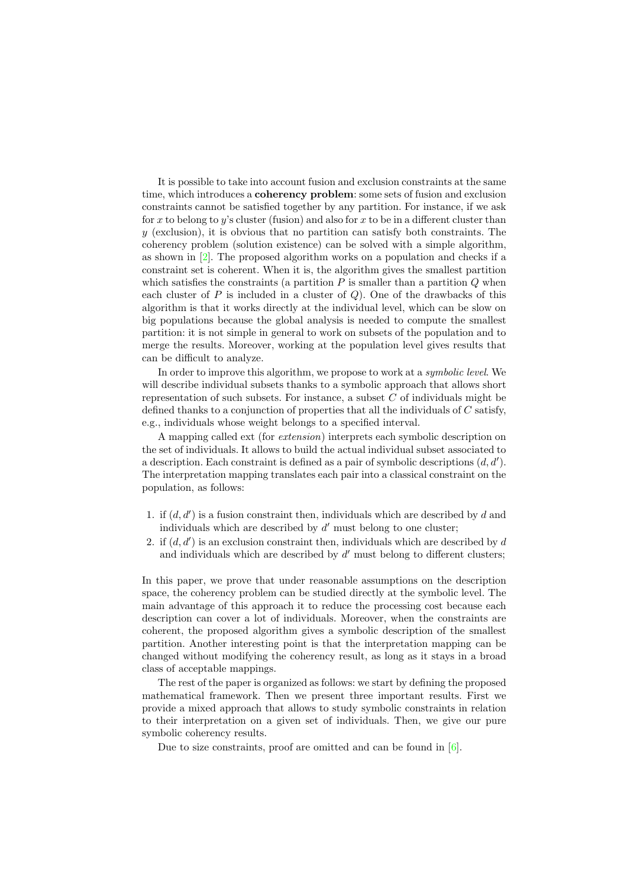It is possible to take into account fusion and exclusion constraints at the same time, which introduces a coherency problem: some sets of fusion and exclusion constraints cannot be satisfied together by any partition. For instance, if we ask for x to belong to y's cluster (fusion) and also for x to be in a different cluster than  $y$  (exclusion), it is obvious that no partition can satisfy both constraints. The coherency problem (solution existence) can be solved with a simple algorithm, as shown in [\[2\]](#page-7-0). The proposed algorithm works on a population and checks if a constraint set is coherent. When it is, the algorithm gives the smallest partition which satisfies the constraints (a partition  $P$  is smaller than a partition  $Q$  when each cluster of P is included in a cluster of  $Q$ ). One of the drawbacks of this algorithm is that it works directly at the individual level, which can be slow on big populations because the global analysis is needed to compute the smallest partition: it is not simple in general to work on subsets of the population and to merge the results. Moreover, working at the population level gives results that can be difficult to analyze.

In order to improve this algorithm, we propose to work at a *symbolic level*. We will describe individual subsets thanks to a symbolic approach that allows short representation of such subsets. For instance, a subset  $C$  of individuals might be defined thanks to a conjunction of properties that all the individuals of C satisfy, e.g., individuals whose weight belongs to a specified interval.

A mapping called ext (for extension) interprets each symbolic description on the set of individuals. It allows to build the actual individual subset associated to a description. Each constraint is defined as a pair of symbolic descriptions  $(d, d')$ . The interpretation mapping translates each pair into a classical constraint on the population, as follows:

- 1. if  $(d, d')$  is a fusion constraint then, individuals which are described by d and individuals which are described by  $d'$  must belong to one cluster;
- 2. if  $(d, d')$  is an exclusion constraint then, individuals which are described by  $d$ and individuals which are described by  $d'$  must belong to different clusters;

In this paper, we prove that under reasonable assumptions on the description space, the coherency problem can be studied directly at the symbolic level. The main advantage of this approach it to reduce the processing cost because each description can cover a lot of individuals. Moreover, when the constraints are coherent, the proposed algorithm gives a symbolic description of the smallest partition. Another interesting point is that the interpretation mapping can be changed without modifying the coherency result, as long as it stays in a broad class of acceptable mappings.

The rest of the paper is organized as follows: we start by defining the proposed mathematical framework. Then we present three important results. First we provide a mixed approach that allows to study symbolic constraints in relation to their interpretation on a given set of individuals. Then, we give our pure symbolic coherency results.

Due to size constraints, proof are omitted and can be found in [\[6\]](#page-8-2).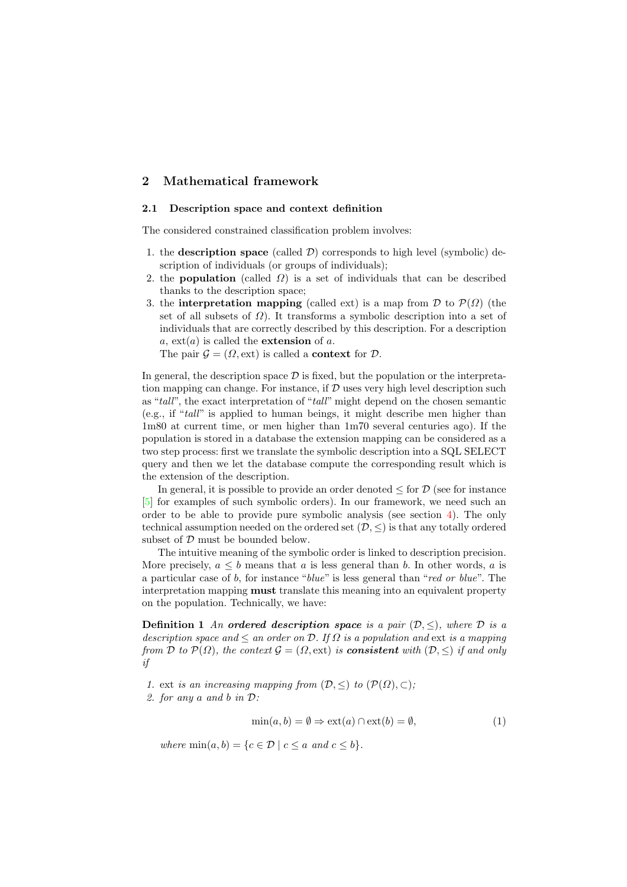# 2 Mathematical framework

#### <span id="page-2-0"></span>2.1 Description space and context definition

The considered constrained classification problem involves:

- 1. the description space (called  $\mathcal{D}$ ) corresponds to high level (symbolic) description of individuals (or groups of individuals);
- 2. the **population** (called  $\Omega$ ) is a set of individuals that can be described thanks to the description space;
- 3. the interpretation mapping (called ext) is a map from  $\mathcal{D}$  to  $\mathcal{P}(\Omega)$  (the set of all subsets of  $\Omega$ ). It transforms a symbolic description into a set of individuals that are correctly described by this description. For a description  $a, \text{ext}(a)$  is called the **extension** of  $a$ .

The pair  $\mathcal{G} = (\Omega, \text{ext})$  is called a **context** for  $\mathcal{D}$ .

In general, the description space  $\mathcal D$  is fixed, but the population or the interpretation mapping can change. For instance, if  $D$  uses very high level description such as "tall", the exact interpretation of "tall" might depend on the chosen semantic (e.g., if "tall" is applied to human beings, it might describe men higher than 1m80 at current time, or men higher than 1m70 several centuries ago). If the population is stored in a database the extension mapping can be considered as a two step process: first we translate the symbolic description into a SQL SELECT query and then we let the database compute the corresponding result which is the extension of the description.

In general, it is possible to provide an order denoted  $\leq$  for  $\mathcal D$  (see for instance [\[5\]](#page-8-3) for examples of such symbolic orders). In our framework, we need such an order to be able to provide pure symbolic analysis (see section [4\)](#page-6-0). The only technical assumption needed on the ordered set  $(\mathcal{D}, \leq)$  is that any totally ordered subset of  $D$  must be bounded below.

The intuitive meaning of the symbolic order is linked to description precision. More precisely,  $a \leq b$  means that a is less general than b. In other words, a is a particular case of  $b$ , for instance " $blue$ " is less general than "red or  $blue$ ". The interpretation mapping must translate this meaning into an equivalent property on the population. Technically, we have:

**Definition 1** An ordered description space is a pair  $(\mathcal{D}, \leq)$ , where D is a description space and  $\leq$  an order on  $\mathcal D$ . If  $\Omega$  is a population and ext is a mapping from D to  $\mathcal{P}(\Omega)$ , the context  $\mathcal{G} = (\Omega, \text{ext})$  is **consistent** with  $(\mathcal{D}, \leq)$  if and only if

1. ext is an increasing mapping from  $(\mathcal{D}, \leq)$  to  $(\mathcal{P}(\Omega), \subset)$ ;

2. for any a and b in D:

$$
\min(a, b) = \emptyset \Rightarrow \text{ext}(a) \cap \text{ext}(b) = \emptyset,
$$
\n(1)

where  $\min(a, b) = \{c \in \mathcal{D} \mid c \le a \text{ and } c \le b\}.$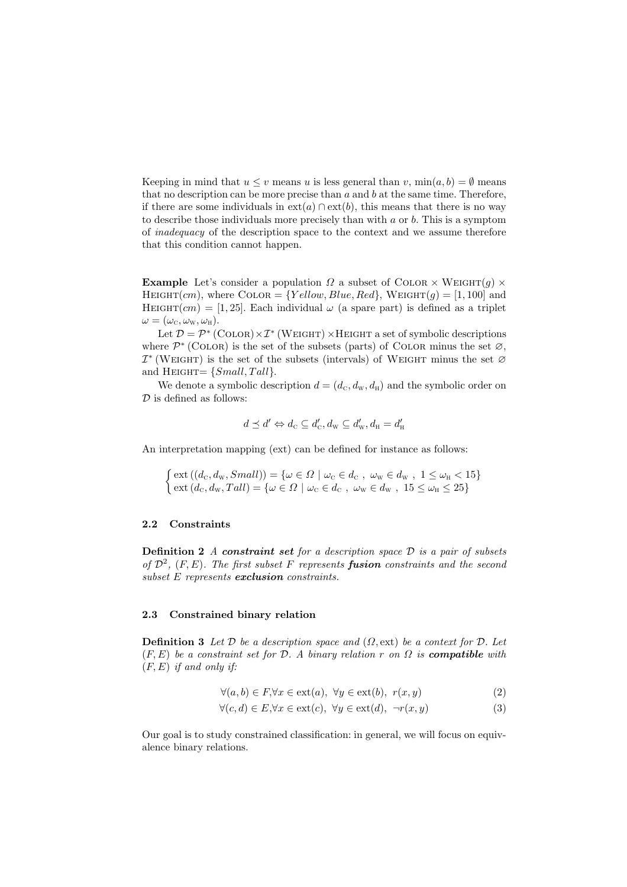Keeping in mind that  $u \leq v$  means u is less general than v, min $(a, b) = \emptyset$  means that no description can be more precise than  $a$  and  $b$  at the same time. Therefore, if there are some individuals in ext(a) ∩ ext(b), this means that there is no way to describe those individuals more precisely than with  $a$  or  $b$ . This is a symptom of inadequacy of the description space to the context and we assume therefore that this condition cannot happen.

Example Let's consider a population  $\Omega$  a subset of COLOR  $\times$  WEIGHT $(q) \times$ HEIGHT(cm), where COLOR =  ${Y$ ellow, Blue, Red}, WEIGHT(q) = [1, 100] and HEIGHT(cm) = [1, 25]. Each individual  $\omega$  (a spare part) is defined as a triplet  $\omega = (\omega_{\rm C}, \omega_{\rm W}, \omega_{\rm H}).$ 

Let  $\mathcal{D} = \mathcal{P}^*$  (COLOR)  $\times \mathcal{I}^*$  (WEIGHT)  $\times$  HEIGHT a set of symbolic descriptions where  $\mathcal{P}^*$  (COLOR) is the set of the subsets (parts) of COLOR minus the set  $\varnothing$ ,  $\mathcal{I}^*$  (WEIGHT) is the set of the subsets (intervals) of WEIGHT minus the set  $\varnothing$ and HEIGHT=  $\{Small, Tall\}.$ 

We denote a symbolic description  $d = (d_{\rm c}, d_{\rm w}, d_{\rm H})$  and the symbolic order on  $D$  is defined as follows:

$$
d \preceq d' \Leftrightarrow d_{\scriptscriptstyle\rm C} \subseteq d'_{\scriptscriptstyle\rm C}, d_{\scriptscriptstyle\rm W} \subseteq d'_{\scriptscriptstyle\rm W}, d_{\scriptscriptstyle\rm H} = d'_{\scriptscriptstyle\rm H}
$$

An interpretation mapping (ext) can be defined for instance as follows:

$$
\begin{cases}\n\text{ext}\left((d_{\mathcal{C}}, d_{\mathcal{W}}, Small)\right) = \{\omega \in \Omega \mid \omega_{\mathcal{C}} \in d_{\mathcal{C}} \text{ , } \omega_{\mathcal{W}} \in d_{\mathcal{W}} \text{ , } 1 \leq \omega_{\mathcal{H}} < 15\} \\
\text{ext}\left(d_{\mathcal{C}}, d_{\mathcal{W}}, Tall\right) = \{\omega \in \Omega \mid \omega_{\mathcal{C}} \in d_{\mathcal{C}} \text{ , } \omega_{\mathcal{W}} \in d_{\mathcal{W}} \text{ , } 15 \leq \omega_{\mathcal{H}} \leq 25\}\n\end{cases}
$$

## 2.2 Constraints

**Definition 2** A constraint set for a description space  $D$  is a pair of subsets of  $\mathcal{D}^2$ ,  $(F, E)$ . The first subset F represents **fusion** constraints and the second subset E represents exclusion constraints.

#### 2.3 Constrained binary relation

**Definition 3** Let  $\mathcal{D}$  be a description space and  $(\Omega, \text{ext})$  be a context for  $\mathcal{D}$ . Let  $(F, E)$  be a constraint set for  $D$ . A binary relation r on  $\Omega$  is **compatible** with  $(F, E)$  if and only if:

$$
\forall (a, b) \in F, \forall x \in \text{ext}(a), \ \forall y \in \text{ext}(b), \ r(x, y)
$$
 (2)

$$
\forall (c, d) \in E, \forall x \in \text{ext}(c), \ \forall y \in \text{ext}(d), \ \neg r(x, y) \tag{3}
$$

Our goal is to study constrained classification: in general, we will focus on equivalence binary relations.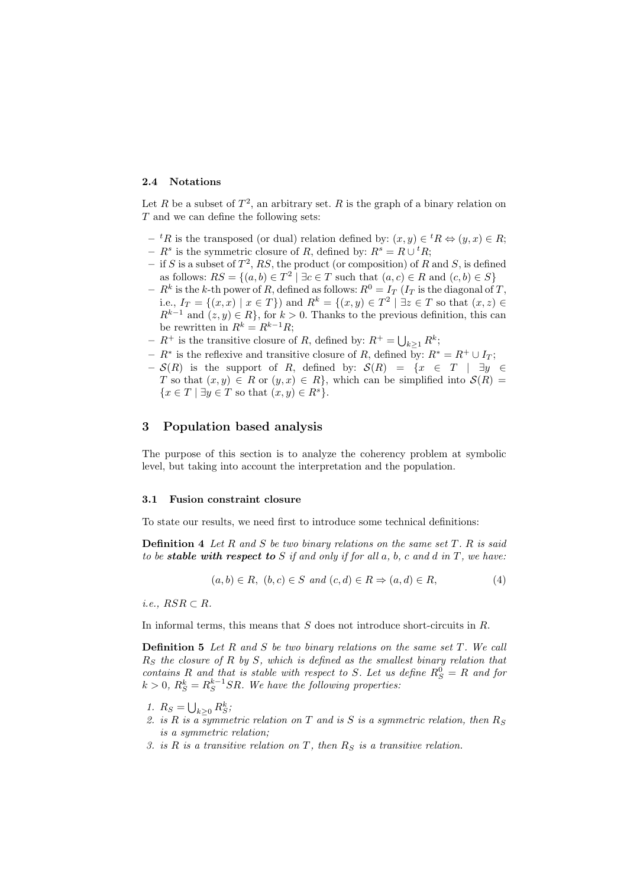#### 2.4 Notations

Let R be a subset of  $T^2$ , an arbitrary set. R is the graph of a binary relation on T and we can define the following sets:

- $-tR$  is the transposed (or dual) relation defined by:  $(x, y) \in {}^tR \Leftrightarrow (y, x) \in R;$
- −  $R^s$  is the symmetric closure of R, defined by:  $R^s = R \cup {}^t R$ ;
- if S is a subset of  $T^2$ , RS, the product (or composition) of R and S, is defined as follows:  $RS = \{(a, b) \in T^2 \mid \exists c \in T \text{ such that } (a, c) \in R \text{ and } (c, b) \in S\}$
- $-R^k$  is the k-th power of R, defined as follows:  $R^0 = I_T$  ( $I_T$  is the diagonal of T, i.e.,  $I_T = \{(x, x) \mid x \in T\}$  and  $R^k = \{(x, y) \in T^2 \mid \exists z \in T$  so that  $(x, z) \in$  $R^{k-1}$  and  $(z, y) \in R$ , for  $k > 0$ . Thanks to the previous definition, this can be rewritten in  $R^k = R^{k-1}R$ ;
- $-R^+$  is the transitive closure of R, defined by:  $R^+ = \bigcup_{k \geq 1} R^k$ ;
- $R^*$  is the reflexive and transitive closure of R, defined by:  $R^* = R^+ \cup I_T$ ;
- $-\mathcal{S}(R)$  is the support of R, defined by:  $\mathcal{S}(R) = \{x \in T \mid \exists y \in C$ T so that  $(x, y) \in R$  or  $(y, x) \in R$ , which can be simplified into  $\mathcal{S}(R) =$  $\{x \in T \mid \exists y \in T \text{ so that } (x, y) \in R^s\}.$

### 3 Population based analysis

The purpose of this section is to analyze the coherency problem at symbolic level, but taking into account the interpretation and the population.

#### 3.1 Fusion constraint closure

To state our results, we need first to introduce some technical definitions:

**Definition 4** Let R and S be two binary relations on the same set  $T$ . R is said to be **stable with respect to**  $S$  if and only if for all  $a, b, c$  and  $d$  in  $T$ , we have:

$$
(a,b) \in R, (b,c) \in S \text{ and } (c,d) \in R \Rightarrow (a,d) \in R,
$$
\n
$$
(4)
$$

i.e.,  $RSR \subset R$ .

In informal terms, this means that  $S$  does not introduce short-circuits in  $R$ .

**Definition 5** Let R and S be two binary relations on the same set T. We call  $R<sub>S</sub>$  the closure of R by S, which is defined as the smallest binary relation that contains R and that is stable with respect to S. Let us define  $R_S^0 = R$  and for  $k > 0$ ,  $R_S^k = R_S^{k-1} S R$ . We have the following properties:

- 1.  $R_S = \bigcup_{k \geq 0} R_S^k;$
- 2. is R is a symmetric relation on T and is S is a symmetric relation, then  $R_S$ is a symmetric relation;
- 3. is R is a transitive relation on T, then  $R<sub>S</sub>$  is a transitive relation.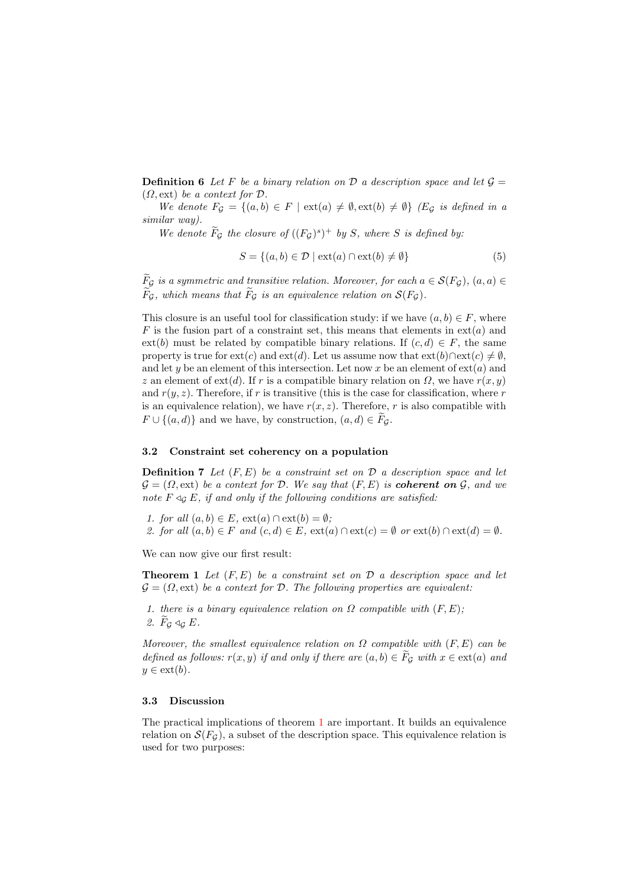**Definition 6** Let F be a binary relation on D a description space and let  $G =$  $(\Omega, \text{ext})$  be a context for  $\mathcal{D}$ .

We denote  $F_{\mathcal{G}} = \{(a, b) \in F \mid \text{ext}(a) \neq \emptyset, \text{ext}(b) \neq \emptyset\}$  (E<sub>G</sub> is defined in a similar way).

We denote  $\widetilde{F}_{\mathcal{G}}$  the closure of  $((F_{\mathcal{G}})^s)^+$  by S, where S is defined by:

$$
S = \{(a, b) \in \mathcal{D} \mid \text{ext}(a) \cap \text{ext}(b) \neq \emptyset\}
$$
(5)

 $\overline{F}_{\mathcal{G}}$  is a symmetric and transitive relation. Moreover, for each  $a \in \mathcal{S}(F_{\mathcal{G}})$ ,  $(a, a) \in$  $\widetilde{F}_{\mathcal{G}}$ , which means that  $\widetilde{F}_{\mathcal{G}}$  is an equivalence relation on  $\mathcal{S}(F_{\mathcal{G}})$ .

This closure is an useful tool for classification study: if we have  $(a, b) \in F$ , where F is the fusion part of a constraint set, this means that elements in  $ext(a)$  and ext(b) must be related by compatible binary relations. If  $(c, d) \in F$ , the same property is true for ext(c) and ext(d). Let us assume now that  $ext(b) \cap ext(c) \neq \emptyset$ , and let y be an element of this intersection. Let now x be an element of  $ext(a)$  and z an element of ext(d). If r is a compatible binary relation on  $\Omega$ , we have  $r(x, y)$ and  $r(y, z)$ . Therefore, if r is transitive (this is the case for classification, where r is an equivalence relation), we have  $r(x, z)$ . Therefore, r is also compatible with  $F \cup \{(a, d)\}\$ and we have, by construction,  $(a, d) \in F_G$ .

#### 3.2 Constraint set coherency on a population

**Definition 7** Let  $(F, E)$  be a constraint set on  $D$  a description space and let  $\mathcal{G} = (\Omega, \text{ext})$  be a context for D. We say that  $(F, E)$  is **coherent on**  $\mathcal{G}$ , and we note  $F \triangleleft_G E$ , if and only if the following conditions are satisfied:

1. for all  $(a, b) \in E$ ,  $ext(a) \cap ext(b) = \emptyset$ ;

<span id="page-5-0"></span>2. for all  $(a, b) \in F$  and  $(c, d) \in E$ ,  $ext(a) \cap ext(c) = \emptyset$  or  $ext(b) \cap ext(d) = \emptyset$ .

We can now give our first result:

**Theorem 1** Let  $(F, E)$  be a constraint set on  $D$  a description space and let  $\mathcal{G} = (\Omega, \text{ext})$  be a context for D. The following properties are equivalent:

1. there is a binary equivalence relation on  $\Omega$  compatible with  $(F, E)$ ; 2.  $\widetilde{F}_G \triangleleft_G E$ .

Moreover, the smallest equivalence relation on  $\Omega$  compatible with  $(F, E)$  can be defined as follows:  $r(x, y)$  if and only if there are  $(a, b) \in \tilde{F}_{\mathcal{G}}$  with  $x \in \text{ext}(a)$  and  $y \in \text{ext}(b)$ .

#### 3.3 Discussion

The practical implications of theorem [1](#page-5-0) are important. It builds an equivalence relation on  $S(F_G)$ , a subset of the description space. This equivalence relation is used for two purposes: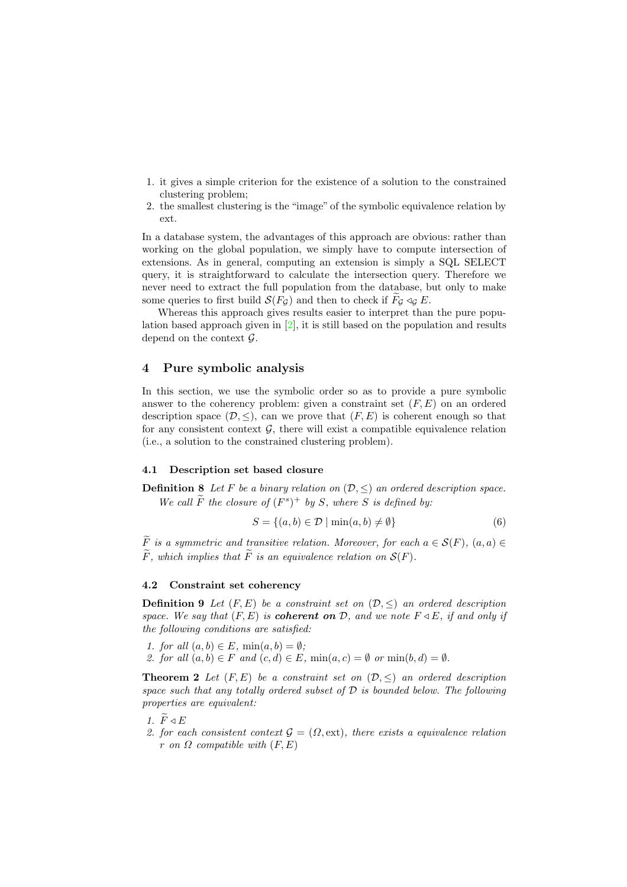- 1. it gives a simple criterion for the existence of a solution to the constrained clustering problem;
- 2. the smallest clustering is the "image" of the symbolic equivalence relation by ext.

In a database system, the advantages of this approach are obvious: rather than working on the global population, we simply have to compute intersection of extensions. As in general, computing an extension is simply a SQL SELECT query, it is straightforward to calculate the intersection query. Therefore we never need to extract the full population from the database, but only to make some queries to first build  $\mathcal{S}(F_G)$  and then to check if  $\widetilde{F}_G \triangleleft_G E$ .

Whereas this approach gives results easier to interpret than the pure population based approach given in [\[2\]](#page-7-0), it is still based on the population and results depend on the context  $\mathcal{G}$ .

## <span id="page-6-0"></span>4 Pure symbolic analysis

In this section, we use the symbolic order so as to provide a pure symbolic answer to the coherency problem: given a constraint set  $(F, E)$  on an ordered description space  $(\mathcal{D}, \leq)$ , can we prove that  $(F, E)$  is coherent enough so that for any consistent context  $G$ , there will exist a compatible equivalence relation (i.e., a solution to the constrained clustering problem).

#### 4.1 Description set based closure

**Definition 8** Let F be a binary relation on  $(\mathcal{D}, \leq)$  an ordered description space. We call  $\widetilde{F}$  the closure of  $(F^s)^+$  by S, where S is defined by:

$$
S = \{(a, b) \in \mathcal{D} \mid \min(a, b) \neq \emptyset\}
$$
\n
$$
(6)
$$

 $\widetilde{F}$  is a symmetric and transitive relation. Moreover, for each  $a \in \mathcal{S}(F)$ ,  $(a, a) \in$  $\widetilde{F}$ , which implies that  $\widetilde{F}$  is an equivalence relation on  $\mathcal{S}(F)$ .

#### 4.2 Constraint set coherency

**Definition 9** Let  $(F, E)$  be a constraint set on  $(D, \leq)$  an ordered description space. We say that  $(F, E)$  is **coherent on**  $D$ , and we note  $F \triangleleft E$ , if and only if the following conditions are satisfied:

- 1. for all  $(a, b) \in E$ ,  $min(a, b) = \emptyset$ ;
- 2. for all  $(a, b) \in F$  and  $(c, d) \in E$ ,  $min(a, c) = \emptyset$  or  $min(b, d) = \emptyset$ .

<span id="page-6-1"></span>**Theorem 2** Let  $(F, E)$  be a constraint set on  $(D, \leq)$  an ordered description space such that any totally ordered subset of  $D$  is bounded below. The following properties are equivalent:

- 1.  $\widetilde{F} \triangleleft E$
- 2. for each consistent context  $\mathcal{G} = (\Omega, \text{ext})$ , there exists a equivalence relation r on  $\Omega$  compatible with  $(F, E)$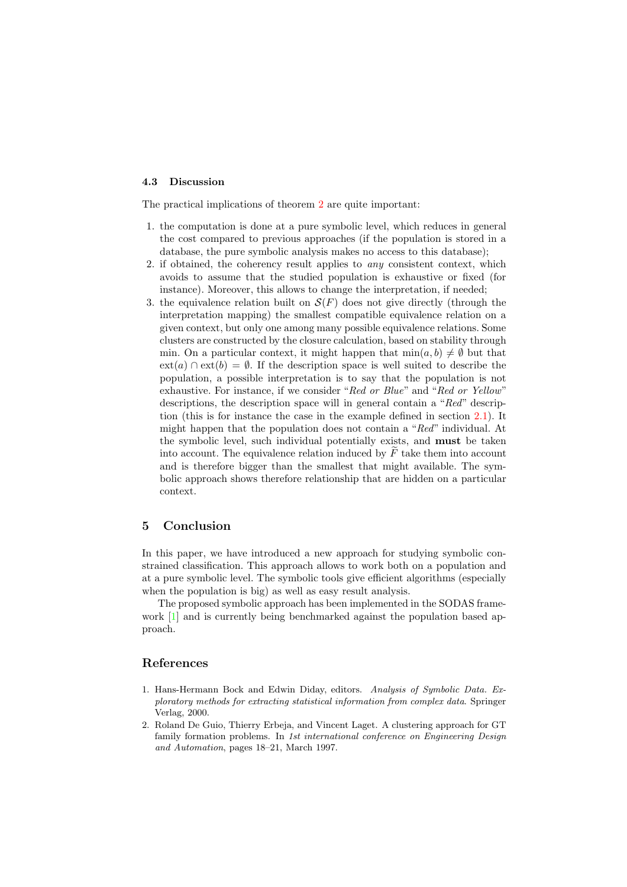#### 4.3 Discussion

The practical implications of theorem [2](#page-6-1) are quite important:

- 1. the computation is done at a pure symbolic level, which reduces in general the cost compared to previous approaches (if the population is stored in a database, the pure symbolic analysis makes no access to this database);
- 2. if obtained, the coherency result applies to any consistent context, which avoids to assume that the studied population is exhaustive or fixed (for instance). Moreover, this allows to change the interpretation, if needed;
- 3. the equivalence relation built on  $\mathcal{S}(F)$  does not give directly (through the interpretation mapping) the smallest compatible equivalence relation on a given context, but only one among many possible equivalence relations. Some clusters are constructed by the closure calculation, based on stability through min. On a particular context, it might happen that  $min(a, b) \neq \emptyset$  but that  $ext(a) \cap ext(b) = \emptyset$ . If the description space is well suited to describe the population, a possible interpretation is to say that the population is not exhaustive. For instance, if we consider "Red or Blue" and "Red or Yellow" descriptions, the description space will in general contain a "Red" description (this is for instance the case in the example defined in section [2.1\)](#page-2-0). It might happen that the population does not contain a "Red" individual. At the symbolic level, such individual potentially exists, and must be taken into account. The equivalence relation induced by  $F$  take them into account and is therefore bigger than the smallest that might available. The symbolic approach shows therefore relationship that are hidden on a particular context.

### 5 Conclusion

In this paper, we have introduced a new approach for studying symbolic constrained classification. This approach allows to work both on a population and at a pure symbolic level. The symbolic tools give efficient algorithms (especially when the population is big) as well as easy result analysis.

The proposed symbolic approach has been implemented in the SODAS frame-work [\[1\]](#page-7-1) and is currently being benchmarked against the population based approach.

# References

- <span id="page-7-1"></span>1. Hans-Hermann Bock and Edwin Diday, editors. Analysis of Symbolic Data. Exploratory methods for extracting statistical information from complex data. Springer Verlag, 2000.
- <span id="page-7-0"></span>2. Roland De Guio, Thierry Erbeja, and Vincent Laget. A clustering approach for GT family formation problems. In 1st international conference on Engineering Design and Automation, pages 18–21, March 1997.